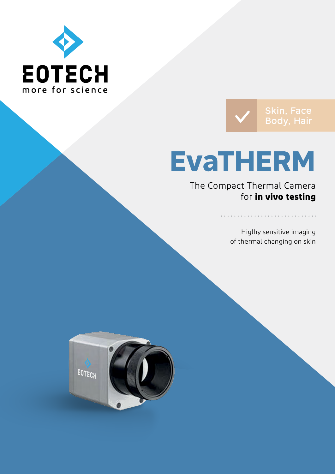



# **EvaTHERM**

The Compact Thermal Camera for **in vivo testing**

> Higlhy sensitive imaging of thermal changing on skin

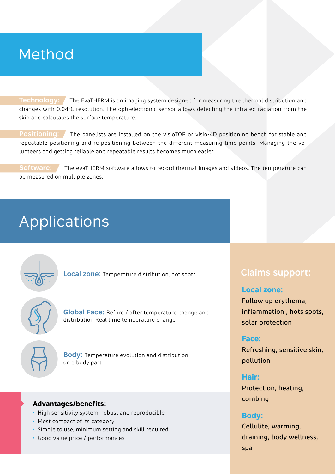## Method

**Technology:** The EvaTHERM is an imaging system designed for measuring the thermal distribution and changes with 0.04°C resolution. The optoelectronic sensor allows detecting the infrared radiation from the skin and calculates the surface temperature.

**Positioning:** The panelists are installed on the visioTOP or visio-4D positioning bench for stable and repeatable positioning and re-positioning between the different measuring time points. Managing the volunteers and getting reliable and repeatable results becomes much easier.

**Software:** The evaTHERM software allows to record thermal images and videos. The temperature can be measured on multiple zones.

# **Applications**

**Local zone:** Temperature distribution, hot spots

**Global Face:** Before / after temperature change and distribution Real time temperature change



**Body:** Temperature evolution and distribution on a body part

### **Advantages/benefits:**

- High sensitivity system, robust and reproducible
- Most compact of its category
- Simple to use, minimum setting and skill required
- Good value price / performances

### **Claims support:**

### **Local zone:**

Follow up erythema, inflammation , hots spots, solar protection

### **Face:**

Refreshing, sensitive skin, pollution

### **Hair:**

Protection, heating, combing

### **Body:**

Cellulite, warming, draining, body wellness, spa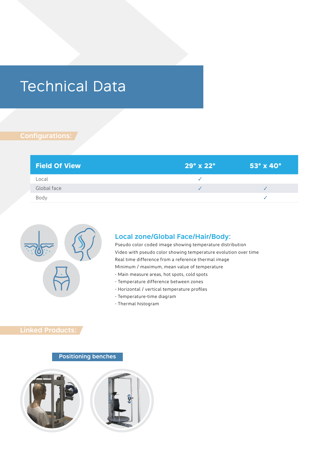# Technical Data

### **Configurations:**

| <b>Field Of View</b> | $29^\circ \times 22^\circ$ | $53^\circ \times 40^\circ$ |
|----------------------|----------------------------|----------------------------|
| Local                |                            |                            |
| Global face          |                            |                            |
| Bodv                 |                            |                            |



#### **Local zone/Global Face/Hair/Body:**

Pseudo color coded image showing temperature distribution Video with pseudo color showing temperature evolution over time Real time difference from a reference thermal image Minimum / maximum, mean value of temperature - Main measure areas, hot spots, cold spots

- Temperature difference between zones
- Horizontal / vertical temperature profiles
- Temperature-time diagram
- Thermal histogram

### **Linked Products:**

#### **Positioning benches**